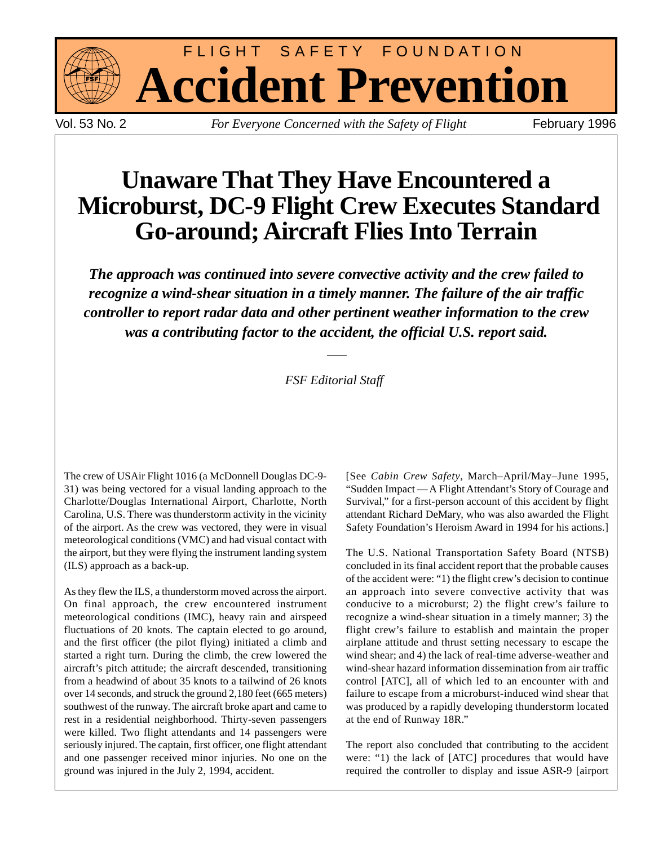

FLIGHT SAFETY FOUNDATION **Accident Prevention**

Vol. 53 No. 2 *For Everyone Concerned with the Safety of Flight* February 1996

# **Unaware That They Have Encountered a Microburst, DC-9 Flight Crew Executes Standard Go-around; Aircraft Flies Into Terrain**

*The approach was continued into severe convective activity and the crew failed to recognize a wind-shear situation in a timely manner. The failure of the air traffic controller to report radar data and other pertinent weather information to the crew was a contributing factor to the accident, the official U.S. report said.*

#### *FSF Editorial Staff*

The crew of USAir Flight 1016 (a McDonnell Douglas DC-9- 31) was being vectored for a visual landing approach to the Charlotte/Douglas International Airport, Charlotte, North Carolina, U.S. There was thunderstorm activity in the vicinity of the airport. As the crew was vectored, they were in visual meteorological conditions (VMC) and had visual contact with the airport, but they were flying the instrument landing system (ILS) approach as a back-up.

As they flew the ILS, a thunderstorm moved across the airport. On final approach, the crew encountered instrument meteorological conditions (IMC), heavy rain and airspeed fluctuations of 20 knots. The captain elected to go around, and the first officer (the pilot flying) initiated a climb and started a right turn. During the climb, the crew lowered the aircraft's pitch attitude; the aircraft descended, transitioning from a headwind of about 35 knots to a tailwind of 26 knots over 14 seconds, and struck the ground 2,180 feet (665 meters) southwest of the runway. The aircraft broke apart and came to rest in a residential neighborhood. Thirty-seven passengers were killed. Two flight attendants and 14 passengers were seriously injured. The captain, first officer, one flight attendant and one passenger received minor injuries. No one on the ground was injured in the July 2, 1994, accident.

[See *Cabin Crew Safety*, March–April/May–June 1995, "Sudden Impact — A Flight Attendant's Story of Courage and Survival," for a first-person account of this accident by flight attendant Richard DeMary, who was also awarded the Flight Safety Foundation's Heroism Award in 1994 for his actions.]

The U.S. National Transportation Safety Board (NTSB) concluded in its final accident report that the probable causes of the accident were: "1) the flight crew's decision to continue an approach into severe convective activity that was conducive to a microburst; 2) the flight crew's failure to recognize a wind-shear situation in a timely manner; 3) the flight crew's failure to establish and maintain the proper airplane attitude and thrust setting necessary to escape the wind shear; and 4) the lack of real-time adverse-weather and wind-shear hazard information dissemination from air traffic control [ATC], all of which led to an encounter with and failure to escape from a microburst-induced wind shear that was produced by a rapidly developing thunderstorm located at the end of Runway 18R."

The report also concluded that contributing to the accident were: "1) the lack of [ATC] procedures that would have required the controller to display and issue ASR-9 [airport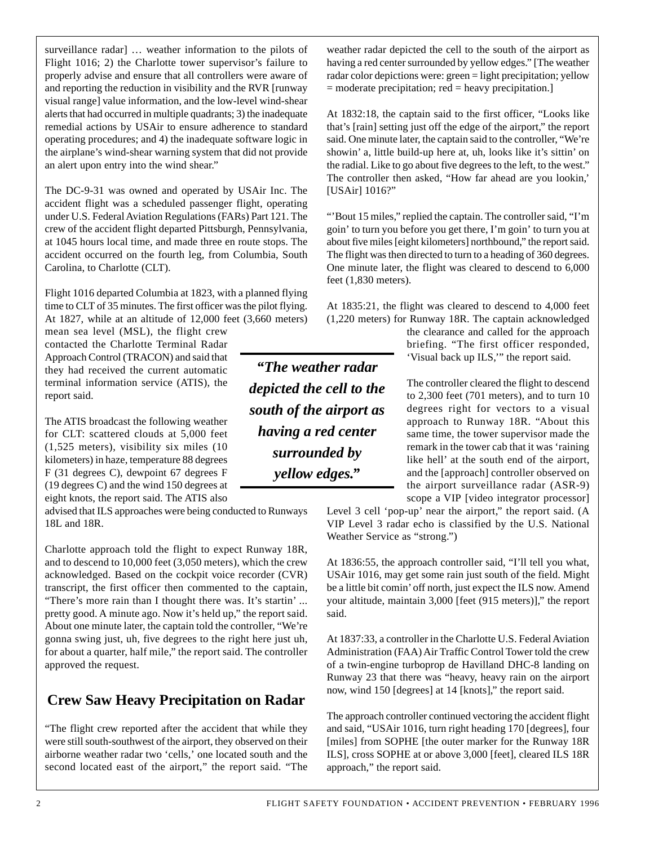surveillance radar] … weather information to the pilots of Flight 1016; 2) the Charlotte tower supervisor's failure to properly advise and ensure that all controllers were aware of and reporting the reduction in visibility and the RVR [runway visual range] value information, and the low-level wind-shear alerts that had occurred in multiple quadrants; 3) the inadequate remedial actions by USAir to ensure adherence to standard operating procedures; and 4) the inadequate software logic in the airplane's wind-shear warning system that did not provide an alert upon entry into the wind shear."

The DC-9-31 was owned and operated by USAir Inc. The accident flight was a scheduled passenger flight, operating under U.S. Federal Aviation Regulations (FARs) Part 121. The crew of the accident flight departed Pittsburgh, Pennsylvania, at 1045 hours local time, and made three en route stops. The accident occurred on the fourth leg, from Columbia, South Carolina, to Charlotte (CLT).

Flight 1016 departed Columbia at 1823, with a planned flying time to CLT of 35 minutes. The first officer was the pilot flying. At 1827, while at an altitude of 12,000 feet (3,660 meters)

mean sea level (MSL), the flight crew contacted the Charlotte Terminal Radar Approach Control (TRACON) and said that they had received the current automatic terminal information service (ATIS), the report said.

The ATIS broadcast the following weather for CLT: scattered clouds at 5,000 feet (1,525 meters), visibility six miles (10 kilometers) in haze, temperature 88 degrees F (31 degrees C), dewpoint 67 degrees F (19 degrees C) and the wind 150 degrees at eight knots, the report said. The ATIS also

advised that ILS approaches were being conducted to Runways 18L and 18R.

Charlotte approach told the flight to expect Runway 18R, and to descend to 10,000 feet (3,050 meters), which the crew acknowledged. Based on the cockpit voice recorder (CVR) transcript, the first officer then commented to the captain, "There's more rain than I thought there was. It's startin' ... pretty good. A minute ago. Now it's held up," the report said. About one minute later, the captain told the controller, "We're gonna swing just, uh, five degrees to the right here just uh, for about a quarter, half mile," the report said. The controller approved the request.

## **Crew Saw Heavy Precipitation on Radar**

"The flight crew reported after the accident that while they were still south-southwest of the airport, they observed on their airborne weather radar two 'cells,' one located south and the second located east of the airport," the report said. "The

weather radar depicted the cell to the south of the airport as having a red center surrounded by yellow edges." [The weather radar color depictions were: green = light precipitation; yellow = moderate precipitation; red = heavy precipitation.]

At 1832:18, the captain said to the first officer, "Looks like that's [rain] setting just off the edge of the airport," the report said. One minute later, the captain said to the controller, "We're showin' a, little build-up here at, uh, looks like it's sittin' on the radial. Like to go about five degrees to the left, to the west." The controller then asked, "How far ahead are you lookin,' [USAir] 1016?"

"'Bout 15 miles," replied the captain. The controller said, "I'm goin' to turn you before you get there, I'm goin' to turn you at about five miles [eight kilometers] northbound," the report said. The flight was then directed to turn to a heading of 360 degrees. One minute later, the flight was cleared to descend to 6,000 feet (1,830 meters).

At 1835:21, the flight was cleared to descend to 4,000 feet (1,220 meters) for Runway 18R. The captain acknowledged

> the clearance and called for the approach briefing. "The first officer responded, 'Visual back up ILS,'" the report said.

> The controller cleared the flight to descend to 2,300 feet (701 meters), and to turn 10 degrees right for vectors to a visual approach to Runway 18R. "About this same time, the tower supervisor made the remark in the tower cab that it was 'raining like hell' at the south end of the airport, and the [approach] controller observed on the airport surveillance radar (ASR-9) scope a VIP [video integrator processor]

Level 3 cell 'pop-up' near the airport," the report said. (A VIP Level 3 radar echo is classified by the U.S. National Weather Service as "strong.")

At 1836:55, the approach controller said, "I'll tell you what, USAir 1016, may get some rain just south of the field. Might be a little bit comin' off north, just expect the ILS now. Amend your altitude, maintain 3,000 [feet (915 meters)]," the report said.

At 1837:33, a controller in the Charlotte U.S. Federal Aviation Administration (FAA) Air Traffic Control Tower told the crew of a twin-engine turboprop de Havilland DHC-8 landing on Runway 23 that there was "heavy, heavy rain on the airport now, wind 150 [degrees] at 14 [knots]," the report said.

The approach controller continued vectoring the accident flight and said, "USAir 1016, turn right heading 170 [degrees], four [miles] from SOPHE [the outer marker for the Runway 18R ILS], cross SOPHE at or above 3,000 [feet], cleared ILS 18R approach," the report said.

2 FLIGHT SAFETY FOUNDATION • ACCIDENT PREVENTION • FEBRUARY 1996

*depicted the cell to the south of the airport as having a red center surrounded by yellow edges."*

*"The weather radar*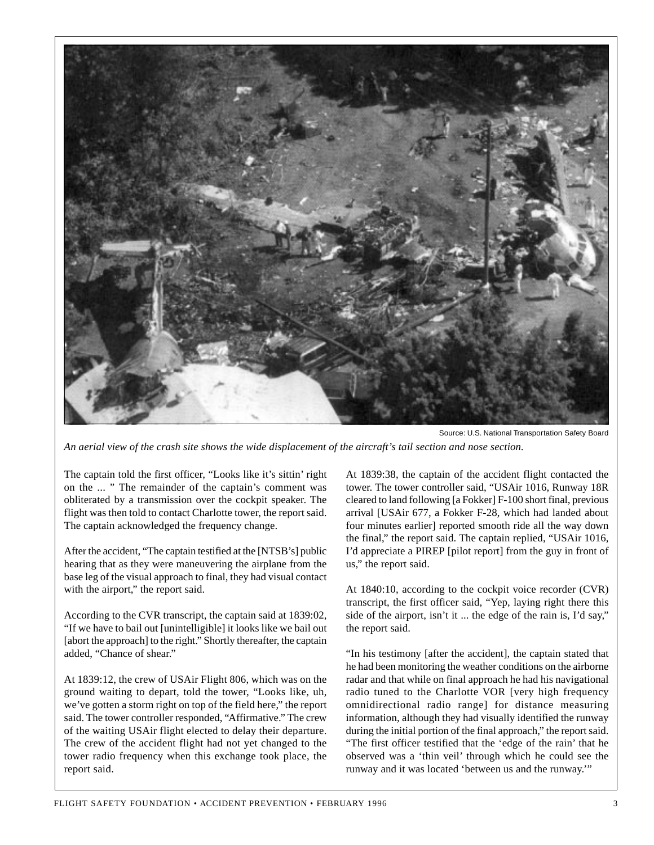

*An aerial view of the crash site shows the wide displacement of the aircraft's tail section and nose section.*

The captain told the first officer, "Looks like it's sittin' right on the ... " The remainder of the captain's comment was obliterated by a transmission over the cockpit speaker. The flight was then told to contact Charlotte tower, the report said. The captain acknowledged the frequency change.

After the accident, "The captain testified at the [NTSB's] public hearing that as they were maneuvering the airplane from the base leg of the visual approach to final, they had visual contact with the airport," the report said.

According to the CVR transcript, the captain said at 1839:02, "If we have to bail out [unintelligible] it looks like we bail out [abort the approach] to the right." Shortly thereafter, the captain added, "Chance of shear."

At 1839:12, the crew of USAir Flight 806, which was on the ground waiting to depart, told the tower, "Looks like, uh, we've gotten a storm right on top of the field here," the report said. The tower controller responded, "Affirmative." The crew of the waiting USAir flight elected to delay their departure. The crew of the accident flight had not yet changed to the tower radio frequency when this exchange took place, the report said.

At 1839:38, the captain of the accident flight contacted the tower. The tower controller said, "USAir 1016, Runway 18R cleared to land following [a Fokker] F-100 short final, previous arrival [USAir 677, a Fokker F-28, which had landed about four minutes earlier] reported smooth ride all the way down the final," the report said. The captain replied, "USAir 1016, I'd appreciate a PIREP [pilot report] from the guy in front of us," the report said.

At 1840:10, according to the cockpit voice recorder (CVR) transcript, the first officer said, "Yep, laying right there this side of the airport, isn't it ... the edge of the rain is, I'd say," the report said.

"In his testimony [after the accident], the captain stated that he had been monitoring the weather conditions on the airborne radar and that while on final approach he had his navigational radio tuned to the Charlotte VOR [very high frequency omnidirectional radio range] for distance measuring information, although they had visually identified the runway during the initial portion of the final approach," the report said. "The first officer testified that the 'edge of the rain' that he observed was a 'thin veil' through which he could see the runway and it was located 'between us and the runway.'"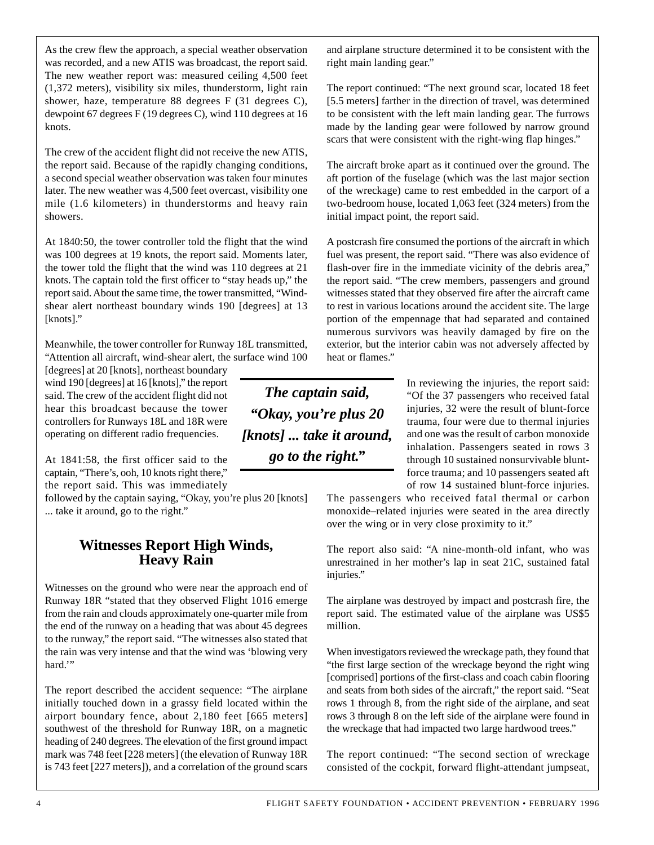As the crew flew the approach, a special weather observation was recorded, and a new ATIS was broadcast, the report said. The new weather report was: measured ceiling 4,500 feet (1,372 meters), visibility six miles, thunderstorm, light rain shower, haze, temperature 88 degrees F (31 degrees C), dewpoint 67 degrees F (19 degrees C), wind 110 degrees at 16 knots.

The crew of the accident flight did not receive the new ATIS, the report said. Because of the rapidly changing conditions, a second special weather observation was taken four minutes later. The new weather was 4,500 feet overcast, visibility one mile (1.6 kilometers) in thunderstorms and heavy rain showers.

At 1840:50, the tower controller told the flight that the wind was 100 degrees at 19 knots, the report said. Moments later, the tower told the flight that the wind was 110 degrees at 21 knots. The captain told the first officer to "stay heads up," the report said. About the same time, the tower transmitted, "Windshear alert northeast boundary winds 190 [degrees] at 13 [knots]."

Meanwhile, the tower controller for Runway 18L transmitted, "Attention all aircraft, wind-shear alert, the surface wind 100

[degrees] at 20 [knots], northeast boundary wind 190 [degrees] at 16 [knots]," the report said. The crew of the accident flight did not hear this broadcast because the tower controllers for Runways 18L and 18R were operating on different radio frequencies.

At 1841:58, the first officer said to the captain, "There's, ooh, 10 knots right there," the report said. This was immediately

followed by the captain saying, "Okay, you're plus 20 [knots] ... take it around, go to the right."

#### **Witnesses Report High Winds, Heavy Rain**

Witnesses on the ground who were near the approach end of Runway 18R "stated that they observed Flight 1016 emerge from the rain and clouds approximately one-quarter mile from the end of the runway on a heading that was about 45 degrees to the runway," the report said. "The witnesses also stated that the rain was very intense and that the wind was 'blowing very hard."

The report described the accident sequence: "The airplane initially touched down in a grassy field located within the airport boundary fence, about 2,180 feet [665 meters] southwest of the threshold for Runway 18R, on a magnetic heading of 240 degrees. The elevation of the first ground impact mark was 748 feet [228 meters] (the elevation of Runway 18R is 743 feet [227 meters]), and a correlation of the ground scars

*The captain said, "Okay, you're plus 20 [knots] ... take it around, go to the right."*

and airplane structure determined it to be consistent with the right main landing gear."

The report continued: "The next ground scar, located 18 feet [5.5 meters] farther in the direction of travel, was determined to be consistent with the left main landing gear. The furrows made by the landing gear were followed by narrow ground scars that were consistent with the right-wing flap hinges."

The aircraft broke apart as it continued over the ground. The aft portion of the fuselage (which was the last major section of the wreckage) came to rest embedded in the carport of a two-bedroom house, located 1,063 feet (324 meters) from the initial impact point, the report said.

A postcrash fire consumed the portions of the aircraft in which fuel was present, the report said. "There was also evidence of flash-over fire in the immediate vicinity of the debris area," the report said. "The crew members, passengers and ground witnesses stated that they observed fire after the aircraft came to rest in various locations around the accident site. The large portion of the empennage that had separated and contained numerous survivors was heavily damaged by fire on the exterior, but the interior cabin was not adversely affected by heat or flames."

> In reviewing the injuries, the report said: "Of the 37 passengers who received fatal injuries, 32 were the result of blunt-force trauma, four were due to thermal injuries and one was the result of carbon monoxide inhalation. Passengers seated in rows 3 through 10 sustained nonsurvivable bluntforce trauma; and 10 passengers seated aft of row 14 sustained blunt-force injuries.

The passengers who received fatal thermal or carbon monoxide–related injuries were seated in the area directly over the wing or in very close proximity to it."

The report also said: "A nine-month-old infant, who was unrestrained in her mother's lap in seat 21C, sustained fatal injuries."

The airplane was destroyed by impact and postcrash fire, the report said. The estimated value of the airplane was US\$5 million.

When investigators reviewed the wreckage path, they found that "the first large section of the wreckage beyond the right wing [comprised] portions of the first-class and coach cabin flooring and seats from both sides of the aircraft," the report said. "Seat rows 1 through 8, from the right side of the airplane, and seat rows 3 through 8 on the left side of the airplane were found in the wreckage that had impacted two large hardwood trees."

The report continued: "The second section of wreckage consisted of the cockpit, forward flight-attendant jumpseat,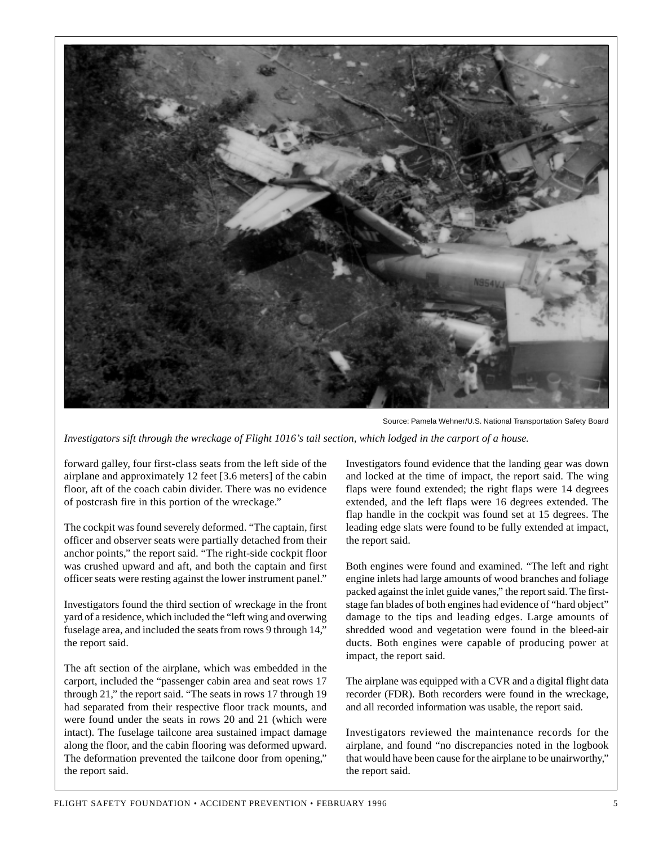

Source: Pamela Wehner/U.S. National Transportation Safety Board

*Investigators sift through the wreckage of Flight 1016's tail section, which lodged in the carport of a house.*

forward galley, four first-class seats from the left side of the airplane and approximately 12 feet [3.6 meters] of the cabin floor, aft of the coach cabin divider. There was no evidence of postcrash fire in this portion of the wreckage."

The cockpit was found severely deformed. "The captain, first officer and observer seats were partially detached from their anchor points," the report said. "The right-side cockpit floor was crushed upward and aft, and both the captain and first officer seats were resting against the lower instrument panel."

Investigators found the third section of wreckage in the front yard of a residence, which included the "left wing and overwing fuselage area, and included the seats from rows 9 through 14," the report said.

The aft section of the airplane, which was embedded in the carport, included the "passenger cabin area and seat rows 17 through 21," the report said. "The seats in rows 17 through 19 had separated from their respective floor track mounts, and were found under the seats in rows 20 and 21 (which were intact). The fuselage tailcone area sustained impact damage along the floor, and the cabin flooring was deformed upward. The deformation prevented the tailcone door from opening," the report said.

Investigators found evidence that the landing gear was down and locked at the time of impact, the report said. The wing flaps were found extended; the right flaps were 14 degrees extended, and the left flaps were 16 degrees extended. The flap handle in the cockpit was found set at 15 degrees. The leading edge slats were found to be fully extended at impact, the report said.

Both engines were found and examined. "The left and right engine inlets had large amounts of wood branches and foliage packed against the inlet guide vanes," the report said. The firststage fan blades of both engines had evidence of "hard object" damage to the tips and leading edges. Large amounts of shredded wood and vegetation were found in the bleed-air ducts. Both engines were capable of producing power at impact, the report said.

The airplane was equipped with a CVR and a digital flight data recorder (FDR). Both recorders were found in the wreckage, and all recorded information was usable, the report said.

Investigators reviewed the maintenance records for the airplane, and found "no discrepancies noted in the logbook that would have been cause for the airplane to be unairworthy," the report said.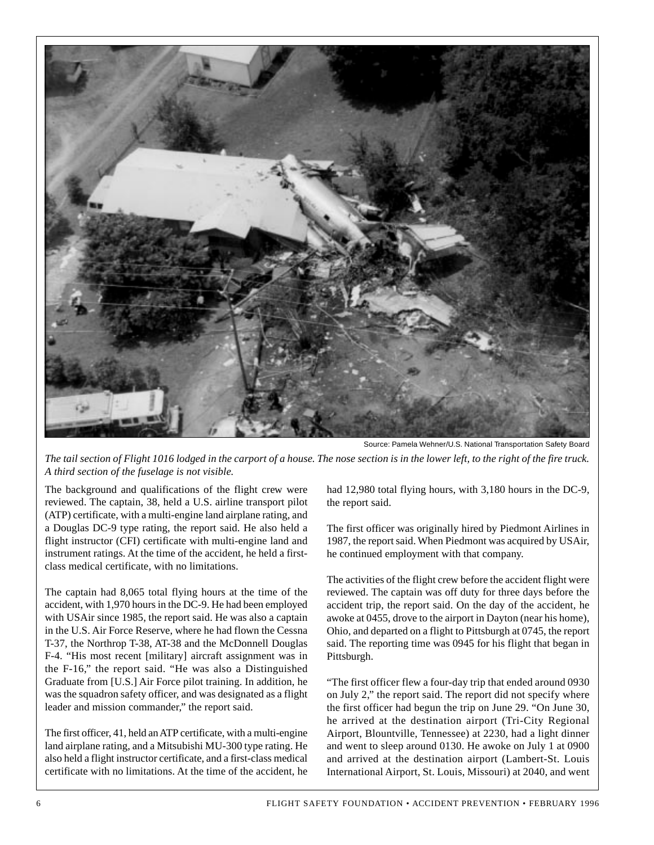

Source: Pamela Wehner/U.S. National Transportation Safety Board

*The tail section of Flight 1016 lodged in the carport of a house. The nose section is in the lower left, to the right of the fire truck. A third section of the fuselage is not visible.*

The background and qualifications of the flight crew were reviewed. The captain, 38, held a U.S. airline transport pilot (ATP) certificate, with a multi-engine land airplane rating, and a Douglas DC-9 type rating, the report said. He also held a flight instructor (CFI) certificate with multi-engine land and instrument ratings. At the time of the accident, he held a firstclass medical certificate, with no limitations.

The captain had 8,065 total flying hours at the time of the accident, with 1,970 hours in the DC-9. He had been employed with USAir since 1985, the report said. He was also a captain in the U.S. Air Force Reserve, where he had flown the Cessna T-37, the Northrop T-38, AT-38 and the McDonnell Douglas F-4. "His most recent [military] aircraft assignment was in the F-16," the report said. "He was also a Distinguished Graduate from [U.S.] Air Force pilot training. In addition, he was the squadron safety officer, and was designated as a flight leader and mission commander," the report said.

The first officer, 41, held an ATP certificate, with a multi-engine land airplane rating, and a Mitsubishi MU-300 type rating. He also held a flight instructor certificate, and a first-class medical certificate with no limitations. At the time of the accident, he

had 12,980 total flying hours, with 3,180 hours in the DC-9, the report said.

The first officer was originally hired by Piedmont Airlines in 1987, the report said. When Piedmont was acquired by USAir, he continued employment with that company.

The activities of the flight crew before the accident flight were reviewed. The captain was off duty for three days before the accident trip, the report said. On the day of the accident, he awoke at 0455, drove to the airport in Dayton (near his home), Ohio, and departed on a flight to Pittsburgh at 0745, the report said. The reporting time was 0945 for his flight that began in Pittsburgh.

"The first officer flew a four-day trip that ended around 0930 on July 2," the report said. The report did not specify where the first officer had begun the trip on June 29. "On June 30, he arrived at the destination airport (Tri-City Regional Airport, Blountville, Tennessee) at 2230, had a light dinner and went to sleep around 0130. He awoke on July 1 at 0900 and arrived at the destination airport (Lambert-St. Louis International Airport, St. Louis, Missouri) at 2040, and went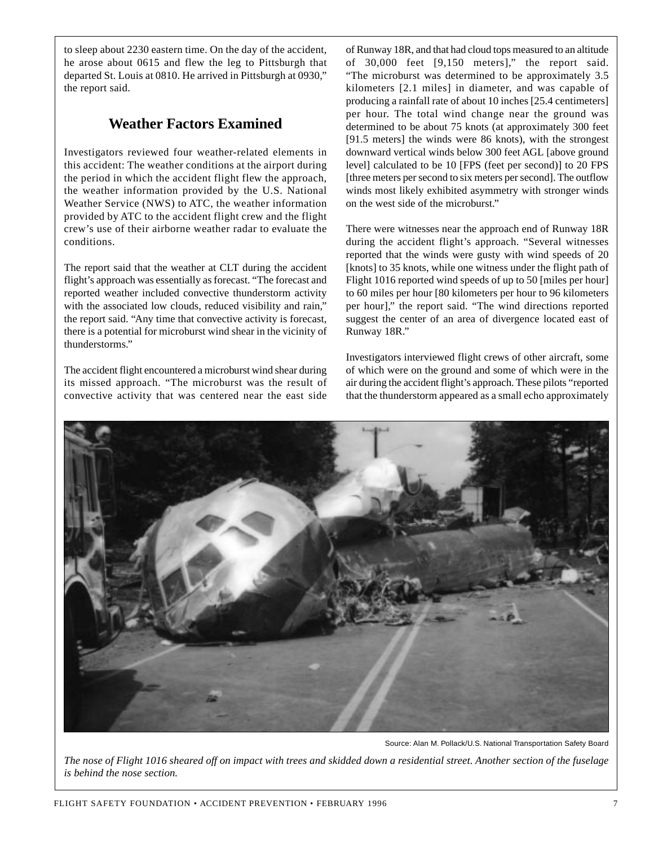to sleep about 2230 eastern time. On the day of the accident, he arose about 0615 and flew the leg to Pittsburgh that departed St. Louis at 0810. He arrived in Pittsburgh at 0930," the report said.

#### **Weather Factors Examined**

Investigators reviewed four weather-related elements in this accident: The weather conditions at the airport during the period in which the accident flight flew the approach, the weather information provided by the U.S. National Weather Service (NWS) to ATC, the weather information provided by ATC to the accident flight crew and the flight crew's use of their airborne weather radar to evaluate the conditions.

The report said that the weather at CLT during the accident flight's approach was essentially as forecast. "The forecast and reported weather included convective thunderstorm activity with the associated low clouds, reduced visibility and rain," the report said. "Any time that convective activity is forecast, there is a potential for microburst wind shear in the vicinity of thunderstorms."

The accident flight encountered a microburst wind shear during its missed approach. "The microburst was the result of convective activity that was centered near the east side of Runway 18R, and that had cloud tops measured to an altitude of 30,000 feet [9,150 meters]," the report said. "The microburst was determined to be approximately 3.5 kilometers [2.1 miles] in diameter, and was capable of producing a rainfall rate of about 10 inches [25.4 centimeters] per hour. The total wind change near the ground was determined to be about 75 knots (at approximately 300 feet [91.5 meters] the winds were 86 knots), with the strongest downward vertical winds below 300 feet AGL [above ground level] calculated to be 10 [FPS (feet per second)] to 20 FPS [three meters per second to six meters per second]. The outflow winds most likely exhibited asymmetry with stronger winds on the west side of the microburst."

There were witnesses near the approach end of Runway 18R during the accident flight's approach. "Several witnesses reported that the winds were gusty with wind speeds of 20 [knots] to 35 knots, while one witness under the flight path of Flight 1016 reported wind speeds of up to 50 [miles per hour] to 60 miles per hour [80 kilometers per hour to 96 kilometers per hour]," the report said. "The wind directions reported suggest the center of an area of divergence located east of Runway 18R."

Investigators interviewed flight crews of other aircraft, some of which were on the ground and some of which were in the air during the accident flight's approach. These pilots "reported that the thunderstorm appeared as a small echo approximately



Source: Alan M. Pollack/U.S. National Transportation Safety Board

*The nose of Flight 1016 sheared off on impact with trees and skidded down a residential street. Another section of the fuselage is behind the nose section.*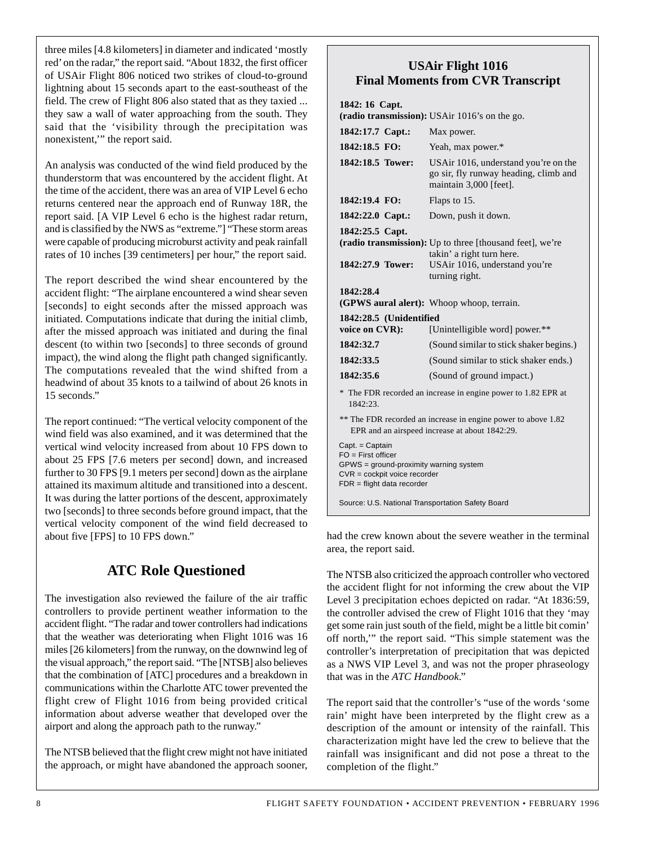three miles [4.8 kilometers] in diameter and indicated 'mostly red' on the radar," the report said. "About 1832, the first officer of USAir Flight 806 noticed two strikes of cloud-to-ground lightning about 15 seconds apart to the east-southeast of the field. The crew of Flight 806 also stated that as they taxied ... they saw a wall of water approaching from the south. They said that the 'visibility through the precipitation was nonexistent,'" the report said.

An analysis was conducted of the wind field produced by the thunderstorm that was encountered by the accident flight. At the time of the accident, there was an area of VIP Level 6 echo returns centered near the approach end of Runway 18R, the report said. [A VIP Level 6 echo is the highest radar return, and is classified by the NWS as "extreme."] "These storm areas were capable of producing microburst activity and peak rainfall rates of 10 inches [39 centimeters] per hour," the report said.

The report described the wind shear encountered by the accident flight: "The airplane encountered a wind shear seven [seconds] to eight seconds after the missed approach was initiated. Computations indicate that during the initial climb, after the missed approach was initiated and during the final descent (to within two [seconds] to three seconds of ground impact), the wind along the flight path changed significantly. The computations revealed that the wind shifted from a headwind of about 35 knots to a tailwind of about 26 knots in 15 seconds."

The report continued: "The vertical velocity component of the wind field was also examined, and it was determined that the vertical wind velocity increased from about 10 FPS down to about 25 FPS [7.6 meters per second] down, and increased further to 30 FPS [9.1 meters per second] down as the airplane attained its maximum altitude and transitioned into a descent. It was during the latter portions of the descent, approximately two [seconds] to three seconds before ground impact, that the vertical velocity component of the wind field decreased to about five [FPS] to 10 FPS down."

## **ATC Role Questioned**

The investigation also reviewed the failure of the air traffic controllers to provide pertinent weather information to the accident flight. "The radar and tower controllers had indications that the weather was deteriorating when Flight 1016 was 16 miles [26 kilometers] from the runway, on the downwind leg of the visual approach," the report said. "The [NTSB] also believes that the combination of [ATC] procedures and a breakdown in communications within the Charlotte ATC tower prevented the flight crew of Flight 1016 from being provided critical information about adverse weather that developed over the airport and along the approach path to the runway."

The NTSB believed that the flight crew might not have initiated the approach, or might have abandoned the approach sooner,

#### **USAir Flight 1016 Final Moments from CVR Transcript**

|  | 1842: 16 Capt. |
|--|----------------|
|  |                |

| (radio transmission): USAir 1016's on the go.                                                                                                              |                                                                                                                                          |  |
|------------------------------------------------------------------------------------------------------------------------------------------------------------|------------------------------------------------------------------------------------------------------------------------------------------|--|
| 1842:17.7 Capt.:                                                                                                                                           | Max power.                                                                                                                               |  |
| 1842:18.5 FO:                                                                                                                                              | Yeah, max power.*                                                                                                                        |  |
| 1842:18.5 Tower:                                                                                                                                           | USAir 1016, understand you're on the<br>go sir, fly runway heading, climb and<br>maintain 3,000 [feet].                                  |  |
| 1842:19.4 FO:                                                                                                                                              | Flaps to 15.                                                                                                                             |  |
| 1842:22.0 Capt.:                                                                                                                                           | Down, push it down.                                                                                                                      |  |
| 1842:25.5 Capt.<br>1842:27.9 Tower:                                                                                                                        | (radio transmission): Up to three [thousand feet], we're<br>takin' a right turn here.<br>USAir 1016, understand you're<br>turning right. |  |
| 1842:28.4<br>(GPWS aural alert): Whoop whoop, terrain.                                                                                                     |                                                                                                                                          |  |
| 1842:28.5 (Unidentified<br>voice on CVR):<br>[Unintelligible word] power.**                                                                                |                                                                                                                                          |  |
| 1842:32.7                                                                                                                                                  | (Sound similar to stick shaker begins.)                                                                                                  |  |
| 1842:33.5                                                                                                                                                  | (Sound similar to stick shaker ends.)                                                                                                    |  |
| 1842:35.6                                                                                                                                                  | (Sound of ground impact.)                                                                                                                |  |
| * The FDR recorded an increase in engine power to 1.82 EPR at<br>1842:23.                                                                                  |                                                                                                                                          |  |
| ** The FDR recorded an increase in engine power to above 1.82<br>EPR and an airspeed increase at about 1842:29.                                            |                                                                                                                                          |  |
| Capt. = Captain<br>$FO = First officer$<br>GPWS = ground-proximity warning system<br>$CVR = \text{cockpit voice receptor}$<br>$FDR = flight$ data recorder |                                                                                                                                          |  |
| Source: U.S. National Transportation Safety Board                                                                                                          |                                                                                                                                          |  |

had the crew known about the severe weather in the terminal area, the report said.

The NTSB also criticized the approach controller who vectored the accident flight for not informing the crew about the VIP Level 3 precipitation echoes depicted on radar. "At 1836:59, the controller advised the crew of Flight 1016 that they 'may get some rain just south of the field, might be a little bit comin' off north,'" the report said. "This simple statement was the controller's interpretation of precipitation that was depicted as a NWS VIP Level 3, and was not the proper phraseology that was in the *ATC Handbook*."

The report said that the controller's "use of the words 'some rain' might have been interpreted by the flight crew as a description of the amount or intensity of the rainfall. This characterization might have led the crew to believe that the rainfall was insignificant and did not pose a threat to the completion of the flight."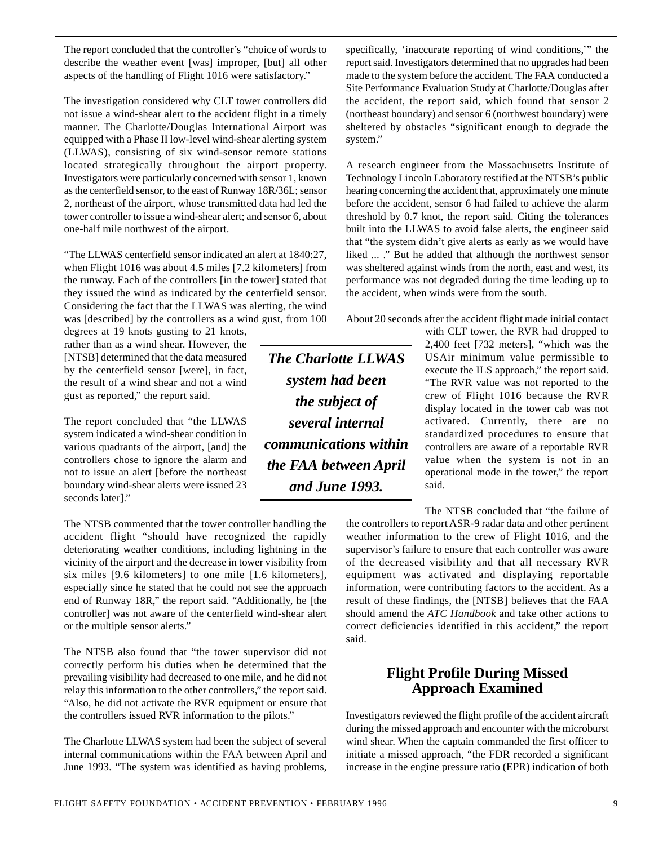The report concluded that the controller's "choice of words to describe the weather event [was] improper, [but] all other aspects of the handling of Flight 1016 were satisfactory."

The investigation considered why CLT tower controllers did not issue a wind-shear alert to the accident flight in a timely manner. The Charlotte/Douglas International Airport was equipped with a Phase II low-level wind-shear alerting system (LLWAS), consisting of six wind-sensor remote stations located strategically throughout the airport property. Investigators were particularly concerned with sensor 1, known as the centerfield sensor, to the east of Runway 18R/36L; sensor 2, northeast of the airport, whose transmitted data had led the tower controller to issue a wind-shear alert; and sensor 6, about one-half mile northwest of the airport.

"The LLWAS centerfield sensor indicated an alert at 1840:27, when Flight 1016 was about 4.5 miles [7.2 kilometers] from the runway. Each of the controllers [in the tower] stated that they issued the wind as indicated by the centerfield sensor. Considering the fact that the LLWAS was alerting, the wind was [described] by the controllers as a wind gust, from 100

degrees at 19 knots gusting to 21 knots, rather than as a wind shear. However, the [NTSB] determined that the data measured by the centerfield sensor [were], in fact, the result of a wind shear and not a wind gust as reported," the report said.

The report concluded that "the LLWAS system indicated a wind-shear condition in various quadrants of the airport, [and] the controllers chose to ignore the alarm and not to issue an alert [before the northeast boundary wind-shear alerts were issued 23 seconds later]."

The NTSB commented that the tower controller handling the accident flight "should have recognized the rapidly deteriorating weather conditions, including lightning in the vicinity of the airport and the decrease in tower visibility from six miles [9.6 kilometers] to one mile [1.6 kilometers], especially since he stated that he could not see the approach end of Runway 18R," the report said. "Additionally, he [the controller] was not aware of the centerfield wind-shear alert or the multiple sensor alerts."

The NTSB also found that "the tower supervisor did not correctly perform his duties when he determined that the prevailing visibility had decreased to one mile, and he did not relay this information to the other controllers," the report said. "Also, he did not activate the RVR equipment or ensure that the controllers issued RVR information to the pilots."

The Charlotte LLWAS system had been the subject of several internal communications within the FAA between April and June 1993. "The system was identified as having problems,

specifically, 'inaccurate reporting of wind conditions,'" the report said. Investigators determined that no upgrades had been made to the system before the accident. The FAA conducted a Site Performance Evaluation Study at Charlotte/Douglas after the accident, the report said, which found that sensor 2 (northeast boundary) and sensor 6 (northwest boundary) were sheltered by obstacles "significant enough to degrade the system."

A research engineer from the Massachusetts Institute of Technology Lincoln Laboratory testified at the NTSB's public hearing concerning the accident that, approximately one minute before the accident, sensor 6 had failed to achieve the alarm threshold by 0.7 knot, the report said. Citing the tolerances built into the LLWAS to avoid false alerts, the engineer said that "the system didn't give alerts as early as we would have liked ... ." But he added that although the northwest sensor was sheltered against winds from the north, east and west, its performance was not degraded during the time leading up to the accident, when winds were from the south.

About 20 seconds after the accident flight made initial contact

*The Charlotte LLWAS system had been the subject of several internal communications within the FAA between April and June 1993.*

with CLT tower, the RVR had dropped to 2,400 feet [732 meters], "which was the USAir minimum value permissible to execute the ILS approach," the report said. "The RVR value was not reported to the crew of Flight 1016 because the RVR display located in the tower cab was not activated. Currently, there are no standardized procedures to ensure that controllers are aware of a reportable RVR value when the system is not in an operational mode in the tower," the report said.

The NTSB concluded that "the failure of the controllers to report ASR-9 radar data and other pertinent weather information to the crew of Flight 1016, and the supervisor's failure to ensure that each controller was aware of the decreased visibility and that all necessary RVR equipment was activated and displaying reportable information, were contributing factors to the accident. As a result of these findings, the [NTSB] believes that the FAA should amend the *ATC Handbook* and take other actions to correct deficiencies identified in this accident," the report said.

#### **Flight Profile During Missed Approach Examined**

Investigators reviewed the flight profile of the accident aircraft during the missed approach and encounter with the microburst wind shear. When the captain commanded the first officer to initiate a missed approach, "the FDR recorded a significant increase in the engine pressure ratio (EPR) indication of both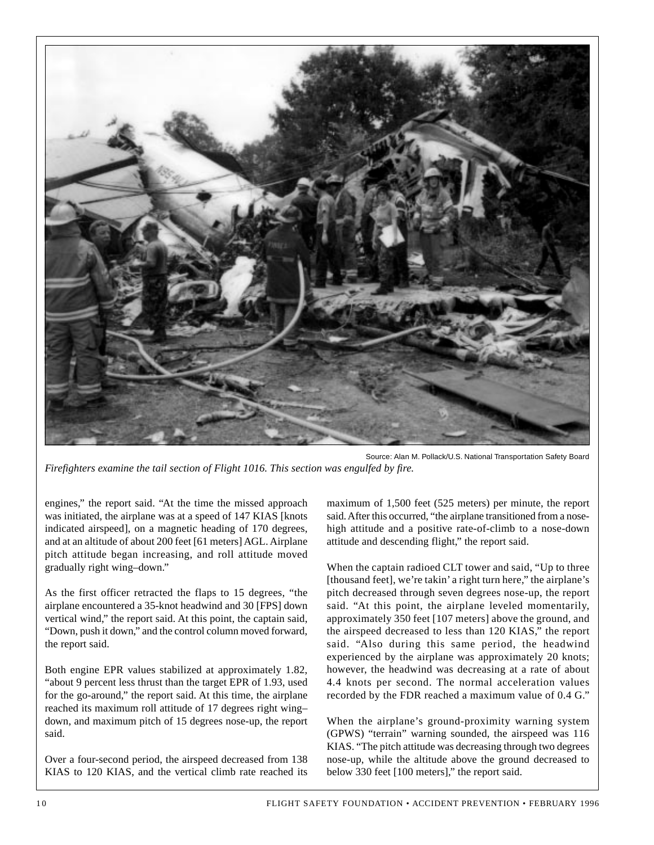

Source: Alan M. Pollack/U.S. National Transportation Safety Board *Firefighters examine the tail section of Flight 1016. This section was engulfed by fire.*

engines," the report said. "At the time the missed approach was initiated, the airplane was at a speed of 147 KIAS [knots indicated airspeed], on a magnetic heading of 170 degrees, and at an altitude of about 200 feet [61 meters] AGL. Airplane pitch attitude began increasing, and roll attitude moved gradually right wing–down."

As the first officer retracted the flaps to 15 degrees, "the airplane encountered a 35-knot headwind and 30 [FPS] down vertical wind," the report said. At this point, the captain said, "Down, push it down," and the control column moved forward, the report said.

Both engine EPR values stabilized at approximately 1.82, "about 9 percent less thrust than the target EPR of 1.93, used for the go-around," the report said. At this time, the airplane reached its maximum roll attitude of 17 degrees right wing– down, and maximum pitch of 15 degrees nose-up, the report said.

Over a four-second period, the airspeed decreased from 138 KIAS to 120 KIAS, and the vertical climb rate reached its

maximum of 1,500 feet (525 meters) per minute, the report said. After this occurred, "the airplane transitioned from a nosehigh attitude and a positive rate-of-climb to a nose-down attitude and descending flight," the report said.

When the captain radioed CLT tower and said, "Up to three [thousand feet], we're takin' a right turn here," the airplane's pitch decreased through seven degrees nose-up, the report said. "At this point, the airplane leveled momentarily, approximately 350 feet [107 meters] above the ground, and the airspeed decreased to less than 120 KIAS," the report said. "Also during this same period, the headwind experienced by the airplane was approximately 20 knots; however, the headwind was decreasing at a rate of about 4.4 knots per second. The normal acceleration values recorded by the FDR reached a maximum value of 0.4 G."

When the airplane's ground-proximity warning system (GPWS) "terrain" warning sounded, the airspeed was 116 KIAS. "The pitch attitude was decreasing through two degrees nose-up, while the altitude above the ground decreased to below 330 feet [100 meters]," the report said.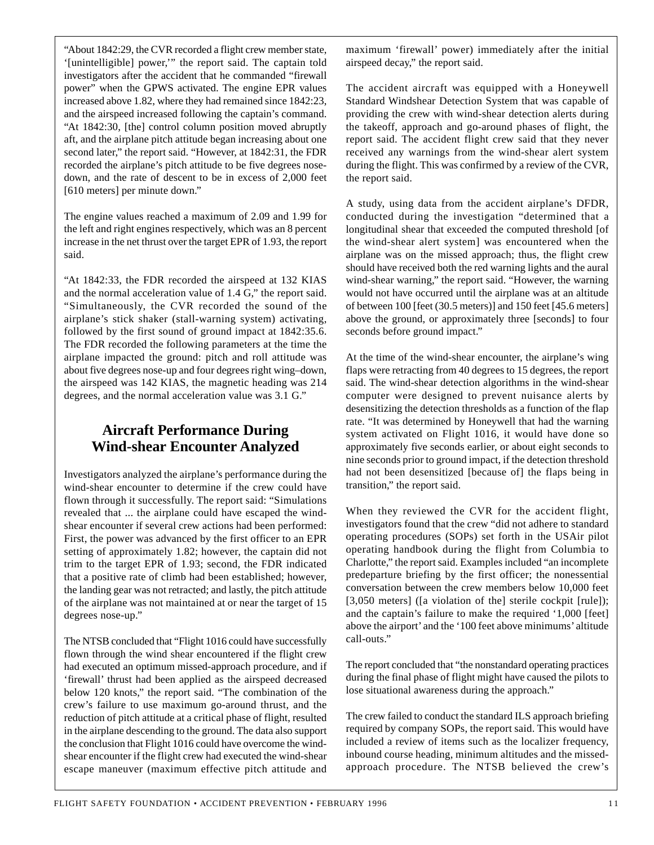"About 1842:29, the CVR recorded a flight crew member state, '[unintelligible] power,'" the report said. The captain told investigators after the accident that he commanded "firewall power" when the GPWS activated. The engine EPR values increased above 1.82, where they had remained since 1842:23, and the airspeed increased following the captain's command. "At 1842:30, [the] control column position moved abruptly aft, and the airplane pitch attitude began increasing about one second later," the report said. "However, at 1842:31, the FDR recorded the airplane's pitch attitude to be five degrees nosedown, and the rate of descent to be in excess of 2,000 feet [610 meters] per minute down."

The engine values reached a maximum of 2.09 and 1.99 for the left and right engines respectively, which was an 8 percent increase in the net thrust over the target EPR of 1.93, the report said.

"At 1842:33, the FDR recorded the airspeed at 132 KIAS and the normal acceleration value of 1.4 G," the report said. "Simultaneously, the CVR recorded the sound of the airplane's stick shaker (stall-warning system) activating, followed by the first sound of ground impact at 1842:35.6. The FDR recorded the following parameters at the time the airplane impacted the ground: pitch and roll attitude was about five degrees nose-up and four degrees right wing–down, the airspeed was 142 KIAS, the magnetic heading was 214 degrees, and the normal acceleration value was 3.1 G."

#### **Aircraft Performance During Wind-shear Encounter Analyzed**

Investigators analyzed the airplane's performance during the wind-shear encounter to determine if the crew could have flown through it successfully. The report said: "Simulations revealed that ... the airplane could have escaped the windshear encounter if several crew actions had been performed: First, the power was advanced by the first officer to an EPR setting of approximately 1.82; however, the captain did not trim to the target EPR of 1.93; second, the FDR indicated that a positive rate of climb had been established; however, the landing gear was not retracted; and lastly, the pitch attitude of the airplane was not maintained at or near the target of 15 degrees nose-up."

The NTSB concluded that "Flight 1016 could have successfully flown through the wind shear encountered if the flight crew had executed an optimum missed-approach procedure, and if 'firewall' thrust had been applied as the airspeed decreased below 120 knots," the report said. "The combination of the crew's failure to use maximum go-around thrust, and the reduction of pitch attitude at a critical phase of flight, resulted in the airplane descending to the ground. The data also support the conclusion that Flight 1016 could have overcome the windshear encounter if the flight crew had executed the wind-shear escape maneuver (maximum effective pitch attitude and

maximum 'firewall' power) immediately after the initial airspeed decay," the report said.

The accident aircraft was equipped with a Honeywell Standard Windshear Detection System that was capable of providing the crew with wind-shear detection alerts during the takeoff, approach and go-around phases of flight, the report said. The accident flight crew said that they never received any warnings from the wind-shear alert system during the flight. This was confirmed by a review of the CVR, the report said.

A study, using data from the accident airplane's DFDR, conducted during the investigation "determined that a longitudinal shear that exceeded the computed threshold [of the wind-shear alert system] was encountered when the airplane was on the missed approach; thus, the flight crew should have received both the red warning lights and the aural wind-shear warning," the report said. "However, the warning would not have occurred until the airplane was at an altitude of between 100 [feet (30.5 meters)] and 150 feet [45.6 meters] above the ground, or approximately three [seconds] to four seconds before ground impact."

At the time of the wind-shear encounter, the airplane's wing flaps were retracting from 40 degrees to 15 degrees, the report said. The wind-shear detection algorithms in the wind-shear computer were designed to prevent nuisance alerts by desensitizing the detection thresholds as a function of the flap rate. "It was determined by Honeywell that had the warning system activated on Flight 1016, it would have done so approximately five seconds earlier, or about eight seconds to nine seconds prior to ground impact, if the detection threshold had not been desensitized [because of] the flaps being in transition," the report said.

When they reviewed the CVR for the accident flight, investigators found that the crew "did not adhere to standard operating procedures (SOPs) set forth in the USAir pilot operating handbook during the flight from Columbia to Charlotte," the report said. Examples included "an incomplete predeparture briefing by the first officer; the nonessential conversation between the crew members below 10,000 feet [3,050 meters] ([a violation of the] sterile cockpit [rule]); and the captain's failure to make the required '1,000 [feet] above the airport' and the '100 feet above minimums' altitude call-outs."

The report concluded that "the nonstandard operating practices during the final phase of flight might have caused the pilots to lose situational awareness during the approach."

The crew failed to conduct the standard ILS approach briefing required by company SOPs, the report said. This would have included a review of items such as the localizer frequency, inbound course heading, minimum altitudes and the missedapproach procedure. The NTSB believed the crew's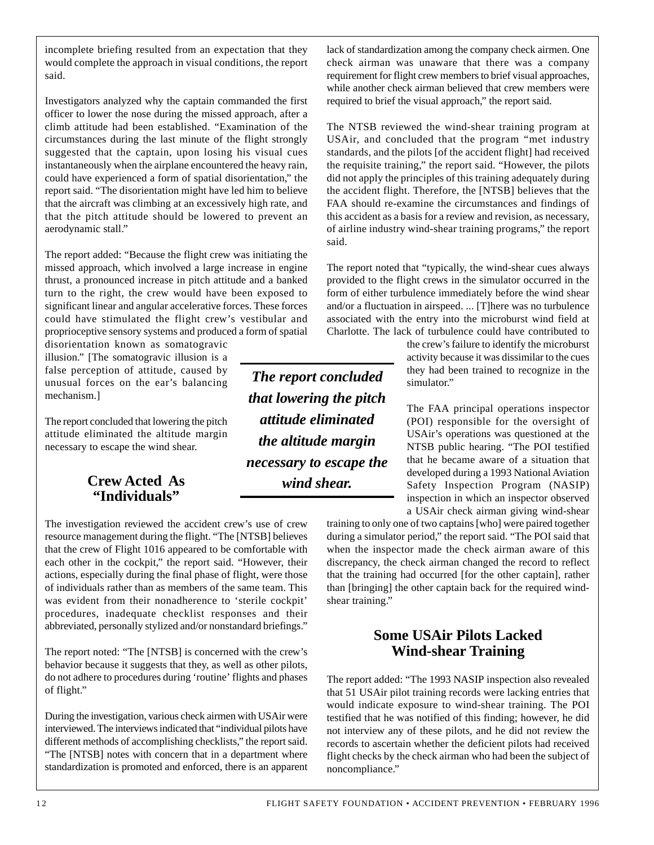incomplete briefing resulted from an expectation that they would complete the approach in visual conditions, the report said.

Investigators analyzed why the captain commanded the first officer to lower the nose during the missed approach, after a climb attitude had been established. "Examination of the circumstances during the last minute of the flight strongly suggested that the captain, upon losing his visual cues instantaneously when the airplane encountered the heavy rain, could have experienced a form of spatial disorientation," the report said. "The disorientation might have led him to believe that the aircraft was climbing at an excessively high rate, and that the pitch attitude should be lowered to prevent an aerodynamic stall."

The report added: "Because the flight crew was initiating the missed approach, which involved a large increase in engine thrust, a pronounced increase in pitch attitude and a banked turn to the right, the crew would have been exposed to significant linear and angular accelerative forces. These forces could have stimulated the flight crew's vestibular and proprioceptive sensory systems and produced a form of spatial

disorientation known as somatogravic illusion." [The somatogravic illusion is a false perception of attitude, caused by unusual forces on the ear's balancing mechanism.]

The report concluded that lowering the pitch attitude eliminated the altitude margin necessary to escape the wind shear.

#### **Crew Acted As "Individuals"**

The investigation reviewed the accident crew's use of crew resource management during the flight. "The [NTSB] believes that the crew of Flight 1016 appeared to be comfortable with each other in the cockpit," the report said. "However, their actions, especially during the final phase of flight, were those of individuals rather than as members of the same team. This was evident from their nonadherence to 'sterile cockpit' procedures, inadequate checklist responses and their abbreviated, personally stylized and/or nonstandard briefings."

The report noted: "The [NTSB] is concerned with the crew's behavior because it suggests that they, as well as other pilots, do not adhere to procedures during 'routine' flights and phases of flight."

During the investigation, various check airmen with USAir were interviewed. The interviews indicated that "individual pilots have different methods of accomplishing checklists," the report said. "The [NTSB] notes with concern that in a department where standardization is promoted and enforced, there is an apparent

*The report concluded that lowering the pitch attitude eliminated the altitude margin necessary to escape the wind shear.*

lack of standardization among the company check airmen. One check airman was unaware that there was a company requirement for flight crew members to brief visual approaches, while another check airman believed that crew members were required to brief the visual approach," the report said.

The NTSB reviewed the wind-shear training program at USAir, and concluded that the program "met industry standards, and the pilots [of the accident flight] had received the requisite training," the report said. "However, the pilots did not apply the principles of this training adequately during the accident flight. Therefore, the [NTSB] believes that the FAA should re-examine the circumstances and findings of this accident as a basis for a review and revision, as necessary, of airline industry wind-shear training programs," the report said.

The report noted that "typically, the wind-shear cues always provided to the flight crews in the simulator occurred in the form of either turbulence immediately before the wind shear and/or a fluctuation in airspeed. ... [T]here was no turbulence associated with the entry into the microburst wind field at Charlotte. The lack of turbulence could have contributed to

> the crew's failure to identify the microburst activity because it was dissimilar to the cues they had been trained to recognize in the simulator."

> The FAA principal operations inspector (POI) responsible for the oversight of USAir's operations was questioned at the NTSB public hearing. "The POI testified that he became aware of a situation that developed during a 1993 National Aviation Safety Inspection Program (NASIP) inspection in which an inspector observed a USAir check airman giving wind-shear

training to only one of two captains [who] were paired together during a simulator period," the report said. "The POI said that when the inspector made the check airman aware of this discrepancy, the check airman changed the record to reflect that the training had occurred [for the other captain], rather than [bringing] the other captain back for the required windshear training."

#### **Some USAir Pilots Lacked Wind-shear Training**

The report added: "The 1993 NASIP inspection also revealed that 51 USAir pilot training records were lacking entries that would indicate exposure to wind-shear training. The POI testified that he was notified of this finding; however, he did not interview any of these pilots, and he did not review the records to ascertain whether the deficient pilots had received flight checks by the check airman who had been the subject of noncompliance."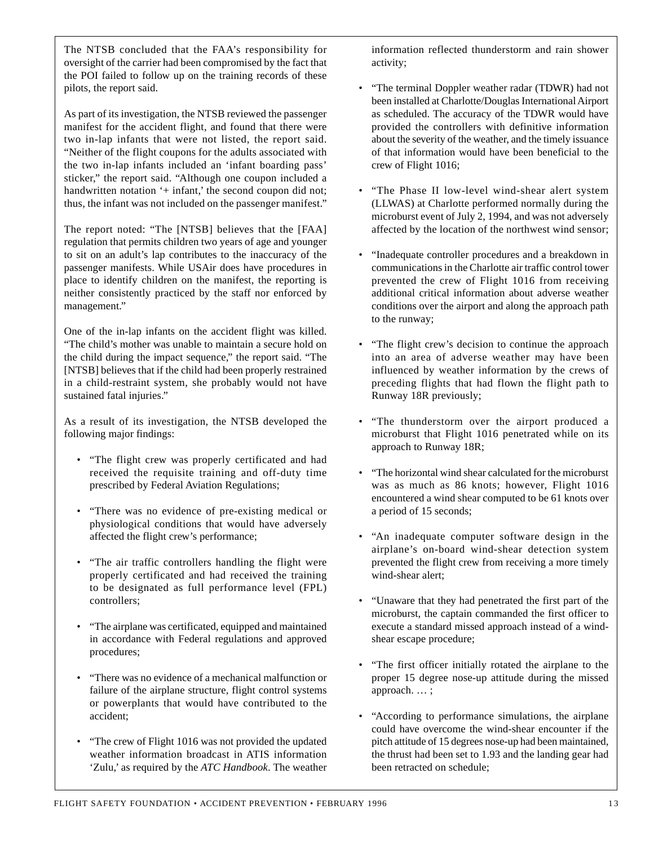The NTSB concluded that the FAA's responsibility for oversight of the carrier had been compromised by the fact that the POI failed to follow up on the training records of these pilots, the report said.

As part of its investigation, the NTSB reviewed the passenger manifest for the accident flight, and found that there were two in-lap infants that were not listed, the report said. "Neither of the flight coupons for the adults associated with the two in-lap infants included an 'infant boarding pass' sticker," the report said. "Although one coupon included a handwritten notation '+ infant,' the second coupon did not; thus, the infant was not included on the passenger manifest."

The report noted: "The [NTSB] believes that the [FAA] regulation that permits children two years of age and younger to sit on an adult's lap contributes to the inaccuracy of the passenger manifests. While USAir does have procedures in place to identify children on the manifest, the reporting is neither consistently practiced by the staff nor enforced by management."

One of the in-lap infants on the accident flight was killed. "The child's mother was unable to maintain a secure hold on the child during the impact sequence," the report said. "The [NTSB] believes that if the child had been properly restrained in a child-restraint system, she probably would not have sustained fatal injuries."

As a result of its investigation, the NTSB developed the following major findings:

- "The flight crew was properly certificated and had received the requisite training and off-duty time prescribed by Federal Aviation Regulations;
- "There was no evidence of pre-existing medical or physiological conditions that would have adversely affected the flight crew's performance;
- "The air traffic controllers handling the flight were properly certificated and had received the training to be designated as full performance level (FPL) controllers;
- "The airplane was certificated, equipped and maintained in accordance with Federal regulations and approved procedures;
- "There was no evidence of a mechanical malfunction or failure of the airplane structure, flight control systems or powerplants that would have contributed to the accident;
- "The crew of Flight 1016 was not provided the updated weather information broadcast in ATIS information 'Zulu,' as required by the *ATC Handbook*. The weather

information reflected thunderstorm and rain shower activity;

- "The terminal Doppler weather radar (TDWR) had not been installed at Charlotte/Douglas International Airport as scheduled. The accuracy of the TDWR would have provided the controllers with definitive information about the severity of the weather, and the timely issuance of that information would have been beneficial to the crew of Flight 1016;
- "The Phase II low-level wind-shear alert system (LLWAS) at Charlotte performed normally during the microburst event of July 2, 1994, and was not adversely affected by the location of the northwest wind sensor;
- "Inadequate controller procedures and a breakdown in communications in the Charlotte air traffic control tower prevented the crew of Flight 1016 from receiving additional critical information about adverse weather conditions over the airport and along the approach path to the runway;
- "The flight crew's decision to continue the approach into an area of adverse weather may have been influenced by weather information by the crews of preceding flights that had flown the flight path to Runway 18R previously;
- "The thunderstorm over the airport produced a microburst that Flight 1016 penetrated while on its approach to Runway 18R;
- "The horizontal wind shear calculated for the microburst was as much as 86 knots; however, Flight 1016 encountered a wind shear computed to be 61 knots over a period of 15 seconds;
- "An inadequate computer software design in the airplane's on-board wind-shear detection system prevented the flight crew from receiving a more timely wind-shear alert;
- "Unaware that they had penetrated the first part of the microburst, the captain commanded the first officer to execute a standard missed approach instead of a windshear escape procedure;
- "The first officer initially rotated the airplane to the proper 15 degree nose-up attitude during the missed approach. … ;
- "According to performance simulations, the airplane could have overcome the wind-shear encounter if the pitch attitude of 15 degrees nose-up had been maintained, the thrust had been set to 1.93 and the landing gear had been retracted on schedule;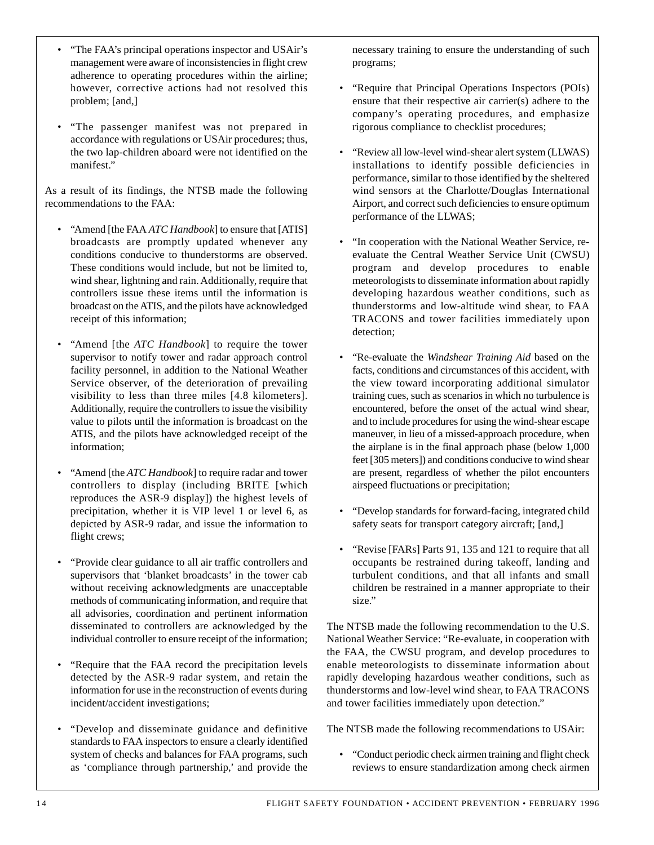- "The FAA's principal operations inspector and USAir's management were aware of inconsistencies in flight crew adherence to operating procedures within the airline; however, corrective actions had not resolved this problem; [and,]
- "The passenger manifest was not prepared in accordance with regulations or USAir procedures; thus, the two lap-children aboard were not identified on the manifest."

As a result of its findings, the NTSB made the following recommendations to the FAA:

- "Amend [the FAA *ATC Handbook*] to ensure that [ATIS] broadcasts are promptly updated whenever any conditions conducive to thunderstorms are observed. These conditions would include, but not be limited to, wind shear, lightning and rain. Additionally, require that controllers issue these items until the information is broadcast on the ATIS, and the pilots have acknowledged receipt of this information;
- "Amend [the *ATC Handbook*] to require the tower supervisor to notify tower and radar approach control facility personnel, in addition to the National Weather Service observer, of the deterioration of prevailing visibility to less than three miles [4.8 kilometers]. Additionally, require the controllers to issue the visibility value to pilots until the information is broadcast on the ATIS, and the pilots have acknowledged receipt of the information;
- "Amend [the *ATC Handbook*] to require radar and tower controllers to display (including BRITE [which reproduces the ASR-9 display]) the highest levels of precipitation, whether it is VIP level 1 or level 6, as depicted by ASR-9 radar, and issue the information to flight crews;
- "Provide clear guidance to all air traffic controllers and supervisors that 'blanket broadcasts' in the tower cab without receiving acknowledgments are unacceptable methods of communicating information, and require that all advisories, coordination and pertinent information disseminated to controllers are acknowledged by the individual controller to ensure receipt of the information;
- "Require that the FAA record the precipitation levels detected by the ASR-9 radar system, and retain the information for use in the reconstruction of events during incident/accident investigations;
- "Develop and disseminate guidance and definitive standards to FAA inspectors to ensure a clearly identified system of checks and balances for FAA programs, such as 'compliance through partnership,' and provide the

necessary training to ensure the understanding of such programs;

- "Require that Principal Operations Inspectors (POIs) ensure that their respective air carrier(s) adhere to the company's operating procedures, and emphasize rigorous compliance to checklist procedures;
- "Review all low-level wind-shear alert system (LLWAS) installations to identify possible deficiencies in performance, similar to those identified by the sheltered wind sensors at the Charlotte/Douglas International Airport, and correct such deficiencies to ensure optimum performance of the LLWAS;
- "In cooperation with the National Weather Service, reevaluate the Central Weather Service Unit (CWSU) program and develop procedures to enable meteorologists to disseminate information about rapidly developing hazardous weather conditions, such as thunderstorms and low-altitude wind shear, to FAA TRACONS and tower facilities immediately upon detection;
- "Re-evaluate the *Windshear Training Aid* based on the facts, conditions and circumstances of this accident, with the view toward incorporating additional simulator training cues, such as scenarios in which no turbulence is encountered, before the onset of the actual wind shear, and to include procedures for using the wind-shear escape maneuver, in lieu of a missed-approach procedure, when the airplane is in the final approach phase (below 1,000 feet [305 meters]) and conditions conducive to wind shear are present, regardless of whether the pilot encounters airspeed fluctuations or precipitation;
- "Develop standards for forward-facing, integrated child safety seats for transport category aircraft; [and,]
- "Revise [FARs] Parts 91, 135 and 121 to require that all occupants be restrained during takeoff, landing and turbulent conditions, and that all infants and small children be restrained in a manner appropriate to their size."

The NTSB made the following recommendation to the U.S. National Weather Service: "Re-evaluate, in cooperation with the FAA, the CWSU program, and develop procedures to enable meteorologists to disseminate information about rapidly developing hazardous weather conditions, such as thunderstorms and low-level wind shear, to FAA TRACONS and tower facilities immediately upon detection."

The NTSB made the following recommendations to USAir:

• "Conduct periodic check airmen training and flight check reviews to ensure standardization among check airmen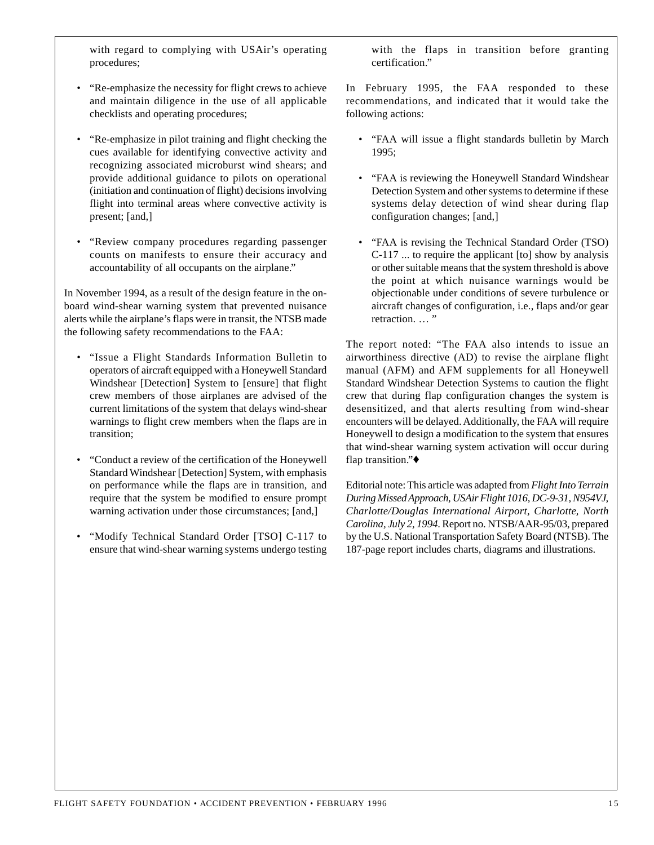with regard to complying with USAir's operating procedures;

- "Re-emphasize the necessity for flight crews to achieve and maintain diligence in the use of all applicable checklists and operating procedures;
- "Re-emphasize in pilot training and flight checking the cues available for identifying convective activity and recognizing associated microburst wind shears; and provide additional guidance to pilots on operational (initiation and continuation of flight) decisions involving flight into terminal areas where convective activity is present; [and,]
- "Review company procedures regarding passenger counts on manifests to ensure their accuracy and accountability of all occupants on the airplane."

In November 1994, as a result of the design feature in the onboard wind-shear warning system that prevented nuisance alerts while the airplane's flaps were in transit, the NTSB made the following safety recommendations to the FAA:

- "Issue a Flight Standards Information Bulletin to operators of aircraft equipped with a Honeywell Standard Windshear [Detection] System to [ensure] that flight crew members of those airplanes are advised of the current limitations of the system that delays wind-shear warnings to flight crew members when the flaps are in transition;
- "Conduct a review of the certification of the Honeywell Standard Windshear [Detection] System, with emphasis on performance while the flaps are in transition, and require that the system be modified to ensure prompt warning activation under those circumstances; [and,]
- "Modify Technical Standard Order [TSO] C-117 to ensure that wind-shear warning systems undergo testing

with the flaps in transition before granting certification."

In February 1995, the FAA responded to these recommendations, and indicated that it would take the following actions:

- "FAA will issue a flight standards bulletin by March 1995;
- "FAA is reviewing the Honeywell Standard Windshear Detection System and other systems to determine if these systems delay detection of wind shear during flap configuration changes; [and,]
- "FAA is revising the Technical Standard Order (TSO) C-117 ... to require the applicant [to] show by analysis or other suitable means that the system threshold is above the point at which nuisance warnings would be objectionable under conditions of severe turbulence or aircraft changes of configuration, i.e., flaps and/or gear retraction. ... "

The report noted: "The FAA also intends to issue an airworthiness directive (AD) to revise the airplane flight manual (AFM) and AFM supplements for all Honeywell Standard Windshear Detection Systems to caution the flight crew that during flap configuration changes the system is desensitized, and that alerts resulting from wind-shear encounters will be delayed. Additionally, the FAA will require Honeywell to design a modification to the system that ensures that wind-shear warning system activation will occur during flap transition."♦

Editorial note: This article was adapted from *Flight Into Terrain During Missed Approach, USAir Flight 1016, DC-9-31, N954VJ, Charlotte/Douglas International Airport, Charlotte, North Carolina, July 2, 1994*. Report no. NTSB/AAR-95/03, prepared by the U.S. National Transportation Safety Board (NTSB). The 187-page report includes charts, diagrams and illustrations.